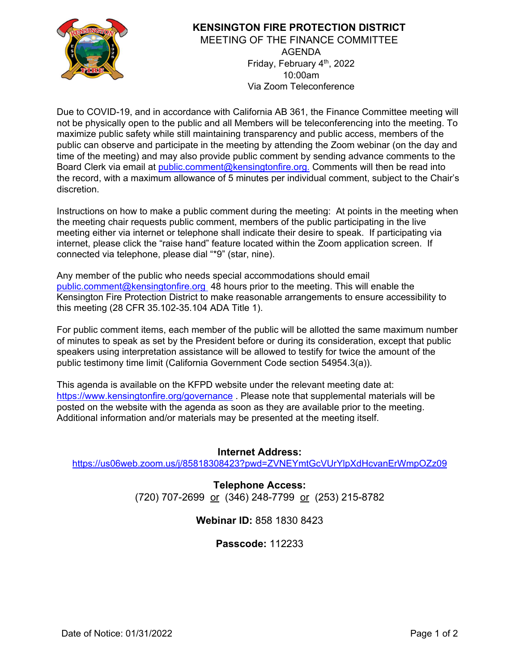

### **KENSINGTON FIRE PROTECTION DISTRICT** MEETING OF THE FINANCE COMMITTEE AGENDA Friday, February 4th , 2022 10:00am Via Zoom Teleconference

Due to COVID-19, and in accordance with California AB 361, the Finance Committee meeting will not be physically open to the public and all Members will be teleconferencing into the meeting. To maximize public safety while still maintaining transparency and public access, members of the public can observe and participate in the meeting by attending the Zoom webinar (on the day and time of the meeting) and may also provide public comment by sending advance comments to the Board Clerk via email at [public.comment@kensingtonfire.org.](mailto:public.comment@kensingtonfire.org.) Comments will then be read into the record, with a maximum allowance of 5 minutes per individual comment, subject to the Chair's discretion.

Instructions on how to make a public comment during the meeting: At points in the meeting when the meeting chair requests public comment, members of the public participating in the live meeting either via internet or telephone shall indicate their desire to speak. If participating via internet, please click the "raise hand" feature located within the Zoom application screen. If connected via telephone, please dial "\*9" (star, nine).

Any member of the public who needs special accommodations should email [public.comment@kensingtonfire.org](mailto:public.comment@kensingtonfire.org) 48 hours prior to the meeting. This will enable the Kensington Fire Protection District to make reasonable arrangements to ensure accessibility to this meeting (28 CFR 35.102-35.104 ADA Title 1).

For public comment items, each member of the public will be allotted the same maximum number of minutes to speak as set by the President before or during its consideration, except that public speakers using interpretation assistance will be allowed to testify for twice the amount of the public testimony time limit (California Government Code section 54954.3(a)).

This agenda is available on the KFPD website under the relevant meeting date at: <https://www.kensingtonfire.org/governance> . Please note that supplemental materials will be posted on the website with the agenda as soon as they are available prior to the meeting. Additional information and/or materials may be presented at the meeting itself.

### **Internet Address:**

https://us06web.zoom.us/i/85818308423?pwd=ZVNEYmtGcVUrYlpXdHcvanErWmpOZz09

**Telephone Access:** (720) 707-2699 or (346) 248-7799 or (253) 215-8782

# **Webinar ID:** 858 1830 8423

# **Passcode:** 112233